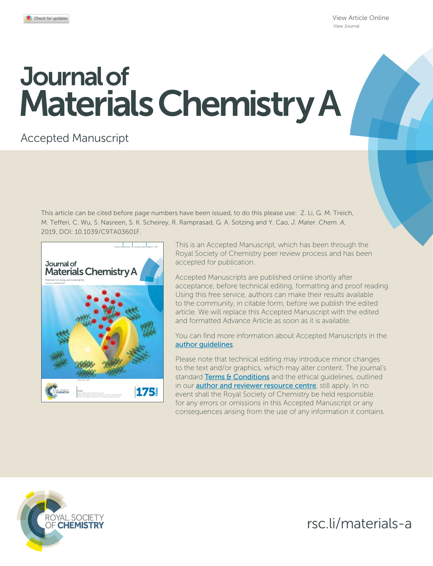[View Article Online](https://doi.org/10.1039/c9ta03601f) [View Journal](https://pubs.rsc.org/en/journals/journal/TA)

# Journal of Materials Chemistry A

# Accepted Manuscript

This article can be cited before page numbers have been issued, to do this please use: Z. Li, G. M. Treich, M. Tefferi, C. Wu, S. Nasreen, S. K. Scheirey, R. Ramprasad, G. A. Sotzing and Y. Cao*, J. Mater. Chem. A*, 2019, DOI: 10.1039/C9TA03601F.



This is an Accepted Manuscript, which has been through the Royal Society of Chemistry peer review process and has been accepted for publication.

Accepted Manuscripts are published online shortly after acceptance, before technical editing, formatting and proof reading. Using this free service, authors can make their results available to the community, in citable form, before we publish the edited article. We will replace this Accepted Manuscript with the edited and formatted Advance Article as soon as it is available.

You can find more information about Accepted Manuscripts in the [author guidelines](http://www.rsc.org/Publishing/Journals/guidelines/AuthorGuidelines/JournalPolicy/accepted_manuscripts.asp).

Please note that technical editing may introduce minor changes to the text and/or graphics, which may alter content. The journal's standard [Terms & Conditions](http://www.rsc.org/help/termsconditions.asp) and the ethical quidelines, outlined in our **[author and reviewer resource centre](http://www.rsc.org/publishing/journals/guidelines/)**, still apply. In no event shall the Royal Society of Chemistry be held responsible for any errors or omissions in this Accepted Manuscript or any consequences arising from the use of any information it contains.



rsc.li/materials-a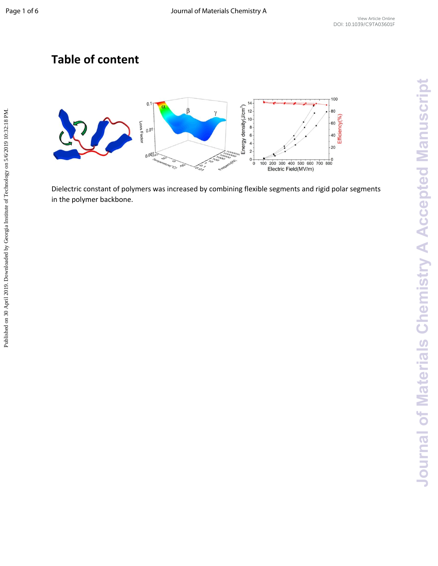## **Table of content**



Dielectric constant of polymers was increased by combining flexible segments and rigid polar segments in the polymer backbone.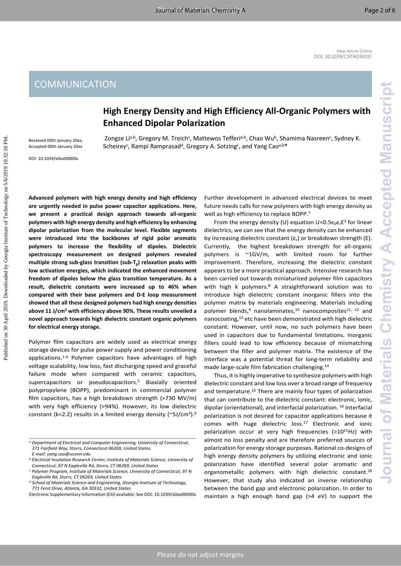## **High Energy Density and High Efficiency All-Organic Polymers with Enhanced Dipolar Polarization**

Zongze Lia,b, Gregory M. Treich<sup>c</sup>, Mattewos Tefferia,b, Chao Wub, Shamima Nasreen<sup>c</sup>, Sydney K. Scheirey<sup>c</sup>, Rampi Ramprasad<sup>d</sup>, Gregory A. Sotzing<sup>c</sup>, and Yang Cao<sup>a,b\*</sup>

Received 00th January 20xx, Accepted 00th January 20xx

DOI: 10.1039/x0xx00000x

**Advanced polymers with high energy density and high efficiency are urgently needed in pulse power capacitor applications. Here, we present a practical design approach towards all-organic polymers with high energy density and high efficiency by enhancing dipolar polarization from the molecular level. Flexible segments were introduced into the backbones of rigid polar aromatic polymers to increase the flexibility of dipoles. Dielectric spectroscopy measurement on designed polymers revealed multiple strong sub-glass transition (sub-Tg) relaxation peaks with low activation energies, which indicated the enhanced movement freedom of dipoles below the glass transition temperature. As a result, dielectric constants were increased up to 46% when compared with their base polymers and D-E loop measurement showed that all these designed polymers had high energy densities above 11 J/cm<sup>3</sup> with efficiency above 90%. These results unveiled a novel approach towards high dielectric constant organic polymers for electrical energy storage.**

Polymer film capacitors are widely used as electrical energy storage devices for pulse power supply and power conditioning applications.1-4 Polymer capacitors have advantages of high voltage scalability, low loss, fast discharging speed and graceful failure mode when compared with ceramic capacitors, supercapacitors or pseudocapacitors.<sup>5</sup> Biaxially oriented polypropylene (BOPP), predominant in commercial polymer film capacitors, has a high breakdown strength (>730 MV/m) with very high efficiency (>94%). However, its low dielectric constant (k=2.2) results in a limited energy density (~5J/cm<sup>3</sup>).<sup>6</sup>

Further development in advanced electrical devices to meet future needs calls for new polymers with high energy density as well as high efficiency to replace BOPP.<sup>7</sup>

From the energy density (U) equation  $U=0.5\varepsilon_0\varepsilon_r E^2$  for linear dielectrics, we can see that the energy density can be enhanced by increasing dielectric constant  $(\varepsilon_r)$  or breakdown strength (E). Currently, the highest breakdown strength for all-organic polymers is ~1GV/m, with limited room for further improvement. Therefore, increasing the dielectric constant appears to be a more practical approach. Intensive research has been carried out towards miniaturized polymer film capacitors with high k polymers.<sup>8</sup> A straightforward solution was to introduce high dielectric constant inorganic fillers into the polymer matrix by materials engineering. Materials including polymer blends,<sup>9</sup> nanolaminates,<sup>10</sup> nanocomposites<sup>11, 12</sup> and nanocoating,<sup>13</sup> etc have been demonstrated with high dielectric constant. However, until now, no such polymers have been used in capacitors due to fundamental limitations. Inorganic fillers could lead to low efficiency because of mismatching between the filler and polymer matrix. The existence of the interface was a potential threat for long-term reliability and made large-scale film fabrication challenging.<sup>14</sup> COMMUNICATION<br>
Enhanced Dipolar Polarista and High Efficiency All-Organic Polymers with<br>
Enhanced Dipolar Polarista in the High Efficiency All-Organic Polymers with<br>
Enhanced Dipolar Polarista in the High Efficiency All-O

Thus, it is highly imperative to synthesize polymers with high dielectric constant and low loss over a broad range of frequency and temperature.<sup>15</sup> There are mainly four types of polarization that can contribute to the dielectric constant: electronic, ionic, dipolar (orientational), and interfacial polarization. <sup>16</sup> Interfacial polarization is not desired for capacitor applications because it comes with huge dielectric  $loss.<sup>17</sup>$  Electronic and ionic polarization occur at very high frequencies  $(>10^{11}$ Hz) with almost no loss penalty and are therefore preferred sources of polarization for energy storage purposes. Rational co-designs of high energy density polymers by utilizing electronic and ionic polarization have identified several polar aromatic and organometallic polymers with high dielectric constant.<sup>18</sup> However, that study also indicated an inverse relationship between the band gap and electronic polarization. In order to maintain a high enough band gap (>4 eV) to support the

*a.Department of Electrical and Computer Engineering, University of Connecticut, 371 Fairfield Way, Storrs, Connecticut 06269, United States.*

*E-mail: yang.cao@uconn.edu*

*b.Electrical Insulation Research Center, Institute of Materials Science, University of Connecticut, 97 N Eagleville Rd, Storrs, CT 06269, United States*

*c. Polymer Program, Institute of Materials Science, University of Connecticut, 97 N Eagleville Rd, Storrs, CT 06269, United States*

*d.School of Materials Science and Engineering, Georgia Institute of Technology, 771 Ferst Drive, Atlanta, GA 30332, United States*

Electronic Supplementary Information (ESI) available: See DOI: 10.1039/x0xx00000x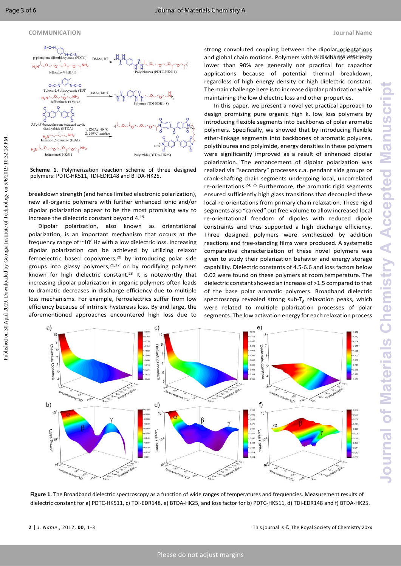#### **COMMUNICATION Journal Name**



**Scheme 1.** Polymerization reaction scheme of three designed polymers: PDTC-HK511, TDI-EDR148 and BTDA-HK25.

breakdown strength (and hence limited electronic polarization), new all-organic polymers with further enhanced ionic and/or dipolar polarization appear to be the most promising way to increase the dielectric constant beyond 4.<sup>19</sup>

Dipolar polarization, also known as orientational polarization, is an important mechanism that occurs at the frequency range of  $^{\sim}10^{8}$  Hz with a low dielectric loss. Increasing dipolar polarization can be achieved by utilizing relaxor ferroelectric based copolymers,<sup>20</sup> by introducing polar side groups into glassy polymers, $2^{1,22}$  or by modifying polymers known for high dielectric constant.<sup>23</sup> It is noteworthy that increasing dipolar polarization in organic polymers often leads to dramatic decreases in discharge efficiency due to multiple loss mechanisms. For example, ferroelectrics suffer from low efficiency because of intrinsic hysteresis loss. By and large, the aforementioned approaches encountered high loss due to

strong convoluted coupling between the dipolar orientations and global chain motions. Polymers with a discharge efficiency lower than 90% are generally not practical for capacitor applications because of potential thermal breakdown, regardless of high energy density or high dielectric constant. The main challenge here isto increase dipolar polarization while maintaining the low dielectric loss and other properties.

In this paper, we present a novel yet practical approach to design promising pure organic high k, low loss polymers by introducing flexible segments into backbones of polar aromatic polymers. Specifically, we showed that by introducing flexible ether-linkage segments into backbones of aromatic polyurea, polythiourea and polyimide, energy densities in these polymers were significantly improved as a result of enhanced dipolar polarization. The enhancement of dipolar polarization was realized via "secondary" processes c.a. pendant side groups or crank-shafting chain segments undergoing local, uncorrelated re-orientations.<sup>24, 25</sup> Furthermore, the aromatic rigid segments ensured sufficiently high glass transitions that decoupled these local re-orientations from primary chain relaxation. These rigid segments also "carved" out free volume to allow increased local re-orientational freedom of dipoles with reduced dipole constraints and thus supported a high discharge efficiency. Three designed polymers were synthesized by addition reactions and free-standing films were produced. A systematic comparative characterization of these novel polymers was given to study their polarization behavior and energy storage capability. Dielectric constants of 4.5-6.6 and loss factors below 0.02 were found on these polymers at room temperature. The dielectric constant showed an increase of >1.5 compared to that of the base polar aromatic polymers. Broadband dielectric spectroscopy revealed strong sub- $T_g$  relaxation peaks, which were related to multiple polarization processes of polar segments. The low activation energy for each relaxation process



**Figure 1.** The Broadband dielectric spectroscopy as a function of wide ranges of temperatures and frequencies. Measurement results of dielectric constant for a) PDTC-HK511, c) TDI-EDR148, e) BTDA-HK25, and loss factor for b) PDTC-HK511, d) TDI-EDR148 and f) BTDA-HK25.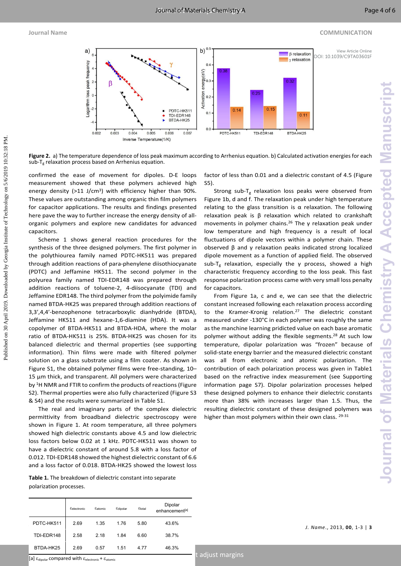#### **Journal Name COMMUNICATION**



**Figure 2.** a) The temperature dependence of loss peak maximum according to Arrhenius equation. b) Calculated activation energies for each sub- $T<sub>g</sub>$  relaxation process based on Arrhenius equation.

confirmed the ease of movement for dipoles. D-E loops measurement showed that these polymers achieved high energy density (>11 J/cm<sup>3</sup>) with efficiency higher than 90%. These values are outstanding among organic thin film polymers for capacitor applications. The results and findings presented here pave the way to further increase the energy density of allorganic polymers and explore new candidates for advanced capacitors.

Scheme 1 shows general reaction procedures for the synthesis of the three designed polymers. The first polymer in the polythiourea family named PDTC-HK511 was prepared through addition reactions of para-phenylene diisothiocyanate (PDTC) and Jeffamine HK511. The second polymer in the polyurea family named TDI-EDR148 was prepared through addition reactions of toluene-2, 4-diisocyanate (TDI) and Jeffamine EDR148. The third polymer from the polyimide family named BTDA-HK25 was prepared through addition reactions of 3,3′,4,4′-benzophenone tetracarboxylic dianhydride (BTDA), Jeffamine HK511 and hexane-1,6-diamine (HDA). It was a copolymer of BTDA-HK511 and BTDA-HDA, where the molar ratio of BTDA-HK511 is 25%. BTDA-HK25 was chosen for its balanced dielectric and thermal properties (see supporting information). Thin films were made with filtered polymer solution on a glass substrate using a film coater. As shown in Figure S1, the obtained polymer films were free-standing, 10– 15 µm thick, and transparent. All polymers were characterized by <sup>1</sup>H NMR and FTIR to confirm the products of reactions (Figure S2). Thermal properties were also fully characterized (Figure S3 & S4) and the results were summarized in Table S1. Fig. 1. The same of the same of the same of the same of the same of the same of the same of the same of the same of the same of the same of the same of the same of the same of the same of the same of the same of the same

The real and imaginary parts of the complex dielectric permittivity from broadband dielectric spectroscopy were shown in Figure 1. At room temperature, all three polymers showed high dielectric constants above 4.5 and low dielectric loss factors below 0.02 at 1 kHz. PDTC-HK511 was shown to have a dielectric constant of around 5.8 with a loss factor of 0.012. TDI-EDR148 showed the highest dielectric constant of 6.6 and a loss factor of 0.018. BTDA-HK25 showed the lowest loss

**Table 1.** The breakdown of dielectric constant into separate polarization processes.

|            | $\varepsilon$ <sub>electronic</sub> | $\varepsilon_{atomic}$ | $\varepsilon$ dipolar | $\varepsilon_{\text{total}}$ | Dipolar<br>enhancement <sup>[a]</sup> |
|------------|-------------------------------------|------------------------|-----------------------|------------------------------|---------------------------------------|
| PDTC-HK511 | 2.69                                | 1.35                   | 1.76                  | 5.80                         | 43.6%                                 |
| TDI-EDR148 | 2.58                                | 2.18                   | 1.84                  | 6.60                         | 38.7%                                 |
| BTDA-HK25  | 2.69                                | 0.57                   | 1.51                  | 4.77                         | 46.3%                                 |

factor of less than 0.01 and a dielectric constant of 4.5 (Figure S5).

Strong sub-T<sub>g</sub> relaxation loss peaks were observed from Figure 1b, d and f. The relaxation peak under high temperature relating to the glass transition is  $\alpha$  relaxation. The following relaxation peak is β relaxation which related to crankshaft movements in polymer chains.<sup>26</sup> The  $\gamma$  relaxation peak under low temperature and high frequency is a result of local fluctuations of dipole vectors within a polymer chain. These observed β and γ relaxation peaks indicated strong localized dipole movement as a function of applied field. The observed sub-T<sup>g</sup> relaxation, especially the γ process, showed a high characteristic frequency according to the loss peak. This fast response polarization process came with very small loss penalty for capacitors.

From Figure 1a, c and e, we can see that the dielectric constant increased following each relaxation process according to the Kramer-Kronig relation.<sup>27</sup> The dielectric constant measured under -130°C in each polymer was roughly the same as the manchine learning pridicted value on each base aromatic polymer without adding the flexible segments.<sup>28</sup> At such low temperature, dipolar polarization was "frozen" because of solid-state energy barrier and the measured dielectric constant was all from electronic and atomic polarization. The contribution of each polarization process was given in Table1 based on the refractive index measurement (see Supporting information page S7). Dipolar polarization processes helped these designed polymers to enhance their dielectric constants more than 38% with increases larger than 1.5. Thus, the resulting dielectric constant of these designed polymers was higher than most polymers within their own class. 29-31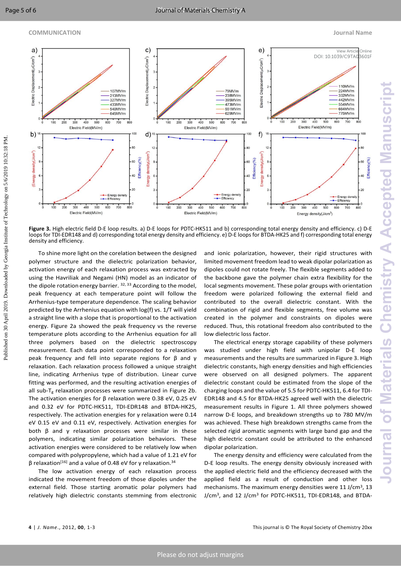#### **COMMUNICATION Journal Name**



Figure 3. High electric field D-E loop results. a) D-E loops for PDTC-HK511 and b) corresponding total energy density and efficiency. c) D-E loops for TDI-EDR148 and d) corresponding total energy density and efficiency. e) D-E loops for BTDA-HK25 and f) corresponding total energy density and efficiency.

To shine more light on the corelation between the designed polymer structure and the dielectric polarization behavior, activation energy of each relaxation process was extracted by using the Havriliak and Negami (HN) model as an indicator of the dipole rotation energy barrier. <sup>32, 33</sup> According to the model, peak frequency at each temperature point will follow the Arrhenius-type temperature dependence. The scaling behavior predicted by the Arrhenius equation with log(f) vs. 1/T will yield a straight line with a slope that is proportional to the activation energy. Figure 2a showed the peak frequency vs the reverse temperature plots according to the Arrhenius equation for all three polymers based on the dielectric spectroscopy measurement. Each data point corresponded to a relaxation peak frequency and fell into separate regions for β and γ relaxation. Each relaxation process followed a unique straight line, indicating Arrhenius type of distribution. Linear curve fitting was performed, and the resulting activation energies of all sub-T<sub>g</sub> relaxation processes were summarized in Figure 2b. The activation energies for β relaxation were 0.38 eV, 0.25 eV and 0.32 eV for PDTC-HK511, TDI-EDR148 and BTDA-HK25, respectively. The activation energies for γ relaxation were 0.14 eV 0.15 eV and 0.11 eV, respectively. Activation energies for both β and γ relaxation processes were similar in these polymers, indicating similar polarization behaviors. These activation energies were considered to be relatively low when compared with polypropylene, which had a value of 1.21 eV for β relaxation<sup>[16]</sup> and a value of 0.48 eV for  $γ$  relaxation.<sup>34</sup>

The low activation energy of each relaxation process indicated the movement freedom of those dipoles under the external field. Those starting aromatic polar polymers had relatively high dielectric constants stemming from electronic

and ionic polarization, however, their rigid structures with limited movement freedom lead to weak dipolar polarization as dipoles could not rotate freely. The flexible segments added to the backbone gave the polymer chain extra flexibility for the local segments movement. These polar groups with orientation freedom were polarized following the external field and contributed to the overall dielectric constant. With the combination of rigid and flexible segments, free volume was created in the polymer and constraints on dipoles were reduced. Thus, this rotational freedom also contributed to the low dielectric loss factor.

The electrical energy storage capability of these polymers was studied under high field with unipolar D-E loop measurements and the results are summarized in Figure 3. High dielectric constants, high energy densities and high efficiencies were observed on all designed polymers. The apparent dielectric constant could be estimated from the slope of the charging loops and the value of 5.5 for PDTC-HK511, 6.4 for TDI-EDR148 and 4.5 for BTDA-HK25 agreed well with the dielectric measurement results in Figure 1. All three polymers showed narrow D-E loops, and breakdown strengths up to 780 MV/m was achieved. These high breakdown strengths came from the selected rigid aromatic segments with large band gap and the high dielectric constant could be attributed to the enhanced dipolar polarization.

The energy density and efficiency were calculated from the D-E loop results. The energy density obviously increased with the applied electric field and the efficiency decreased with the applied field as a result of conduction and other loss mechanisms. The maximum energy densities were 11 J/cm<sup>3</sup>, 13 J/cm<sup>3</sup>, and 12 J/cm<sup>3</sup> for PDTC-HK511, TDI-EDR148, and BTDA-